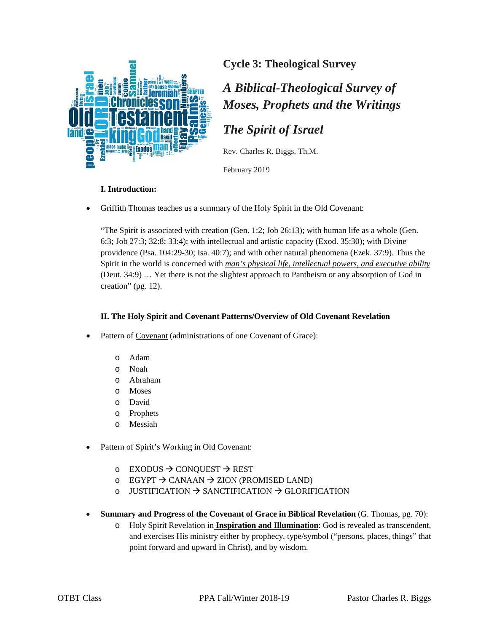

**Cycle 3: Theological Survey**

# *A Biblical-Theological Survey of Moses, Prophets and the Writings*

# *The Spirit of Israel*

Rev. Charles R. Biggs, Th.M.

February 2019

# **I. Introduction:**

• Griffith Thomas teaches us a summary of the Holy Spirit in the Old Covenant:

"The Spirit is associated with creation (Gen. 1:2; Job 26:13); with human life as a whole (Gen. 6:3; Job 27:3; 32:8; 33:4); with intellectual and artistic capacity (Exod. 35:30); with Divine providence (Psa. 104:29-30; Isa. 40:7); and with other natural phenomena (Ezek. 37:9). Thus the Spirit in the world is concerned with *man's physical life, intellectual powers, and executive ability* (Deut. 34:9) … Yet there is not the slightest approach to Pantheism or any absorption of God in creation" (pg. 12).

## **II. The Holy Spirit and Covenant Patterns/Overview of Old Covenant Revelation**

- Pattern of Covenant (administrations of one Covenant of Grace):
	- o Adam
	- o Noah
	- o Abraham
	- o Moses
	- o David
	- o Prophets
	- o Messiah
- Pattern of Spirit's Working in Old Covenant:
	- o EXODUS  $\rightarrow$  CONQUEST  $\rightarrow$  REST
	- $\circ$  EGYPT  $\rightarrow$  CANAAN  $\rightarrow$  ZION (PROMISED LAND)
	- o JUSTIFICATION  $\rightarrow$  SANCTIFICATION  $\rightarrow$  GLORIFICATION
- **Summary and Progress of the Covenant of Grace in Biblical Revelation** (G. Thomas, pg. 70):
	- o Holy Spirit Revelation in **Inspiration and Illumination**: God is revealed as transcendent, and exercises His ministry either by prophecy, type/symbol ("persons, places, things" that point forward and upward in Christ), and by wisdom.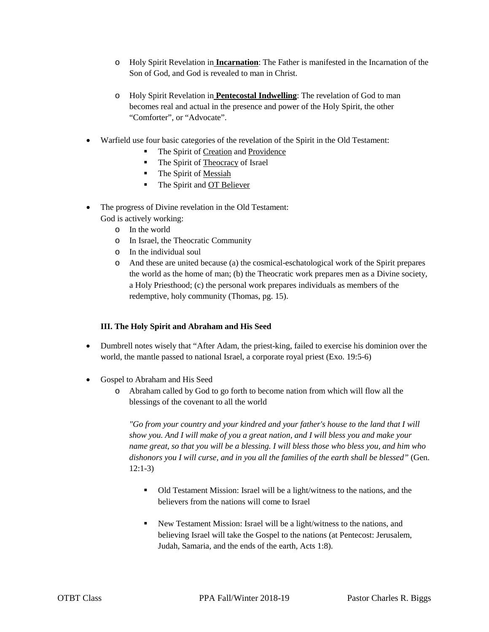- o Holy Spirit Revelation in **Incarnation**: The Father is manifested in the Incarnation of the Son of God, and God is revealed to man in Christ.
- o Holy Spirit Revelation in **Pentecostal Indwelling**: The revelation of God to man becomes real and actual in the presence and power of the Holy Spirit, the other "Comforter", or "Advocate".
- Warfield use four basic categories of the revelation of the Spirit in the Old Testament:
	- The Spirit of Creation and Providence
	- The Spirit of Theocracy of Israel
	- The Spirit of Messiah
	- The Spirit and OT Believer
- The progress of Divine revelation in the Old Testament: God is actively working:
	-
	- o In the world
	- o In Israel, the Theocratic Community
	- o In the individual soul
	- o And these are united because (a) the cosmical-eschatological work of the Spirit prepares the world as the home of man; (b) the Theocratic work prepares men as a Divine society, a Holy Priesthood; (c) the personal work prepares individuals as members of the redemptive, holy community (Thomas, pg. 15).

#### **III. The Holy Spirit and Abraham and His Seed**

- Dumbrell notes wisely that "After Adam, the priest-king, failed to exercise his dominion over the world, the mantle passed to national Israel, a corporate royal priest (Exo. 19:5-6)
- Gospel to Abraham and His Seed
	- o Abraham called by God to go forth to become nation from which will flow all the blessings of the covenant to all the world

*"Go from your country and your kindred and your father's house to the land that I will show you. And I will make of you a great nation, and I will bless you and make your name great, so that you will be a blessing. I will bless those who bless you, and him who dishonors you I will curse, and in you all the families of the earth shall be blessed"* (Gen. 12:1-3)

- Old Testament Mission: Israel will be a light/witness to the nations, and the believers from the nations will come to Israel
- New Testament Mission: Israel will be a light/witness to the nations, and believing Israel will take the Gospel to the nations (at Pentecost: Jerusalem, Judah, Samaria, and the ends of the earth, Acts 1:8).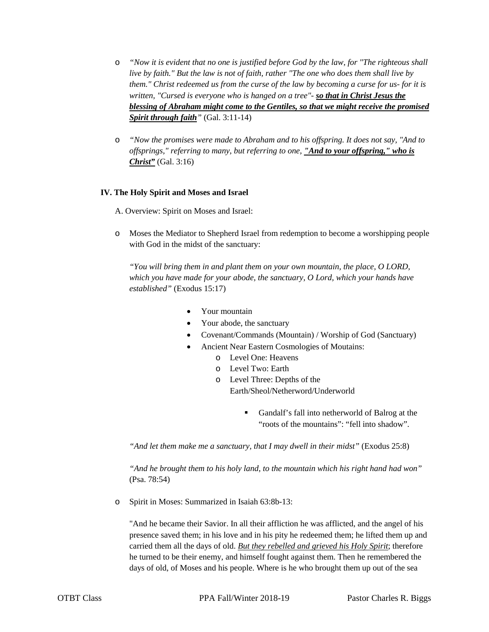- o *"Now it is evident that no one is justified before God by the law, for "The righteous shall live by faith." But the law is not of faith, rather "The one who does them shall live by them." Christ redeemed us from the curse of the law by becoming a curse for us- for it is written, "Cursed is everyone who is hanged on a tree"- so that in Christ Jesus the blessing of Abraham might come to the Gentiles, so that we might receive the promised Spirit through faith"* (Gal. 3:11-14)
- o *"Now the promises were made to Abraham and to his offspring. It does not say, "And to offsprings," referring to many, but referring to one, "And to your offspring," who is Christ"* (Gal. 3:16)

#### **IV. The Holy Spirit and Moses and Israel**

A. Overview: Spirit on Moses and Israel:

o Moses the Mediator to Shepherd Israel from redemption to become a worshipping people with God in the midst of the sanctuary:

*"You will bring them in and plant them on your own mountain, the place, O LORD, which you have made for your abode, the sanctuary, O Lord, which your hands have established"* (Exodus 15:17)

- Your mountain
- Your abode, the sanctuary
- Covenant/Commands (Mountain) / Worship of God (Sanctuary)
- Ancient Near Eastern Cosmologies of Moutains:
	- o Level One: Heavens
	- o Level Two: Earth
	- o Level Three: Depths of the Earth/Sheol/Netherword/Underworld
		- Gandalf's fall into netherworld of Balrog at the "roots of the mountains": "fell into shadow".

*"And let them make me a sanctuary, that I may dwell in their midst"* (Exodus 25:8)

*"And he brought them to his holy land, to the mountain which his right hand had won"* (Psa. 78:54)

o Spirit in Moses: Summarized in Isaiah 63:8b-13:

"And he became their Savior. In all their affliction he was afflicted, and the angel of his presence saved them; in his love and in his pity he redeemed them; he lifted them up and carried them all the days of old. *But they rebelled and grieved his Holy Spirit*; therefore he turned to be their enemy, and himself fought against them. Then he remembered the days of old, of Moses and his people. Where is he who brought them up out of the sea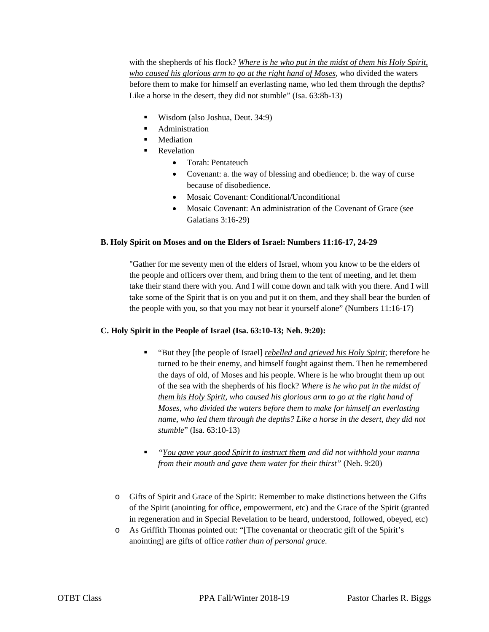with the shepherds of his flock? *Where is he who put in the midst of them his Holy Spirit, who caused his glorious arm to go at the right hand of Moses*, who divided the waters before them to make for himself an everlasting name, who led them through the depths? Like a horse in the desert, they did not stumble" (Isa. 63:8b-13)

- Wisdom (also Joshua, Deut. 34:9)
- Administration
- **Mediation**
- **Revelation** 
	- Torah: Pentateuch
	- Covenant: a. the way of blessing and obedience; b. the way of curse because of disobedience.
	- Mosaic Covenant: Conditional/Unconditional
	- Mosaic Covenant: An administration of the Covenant of Grace (see Galatians 3:16-29)

#### **B. Holy Spirit on Moses and on the Elders of Israel: Numbers 11:16-17, 24-29**

"Gather for me seventy men of the elders of Israel, whom you know to be the elders of the people and officers over them, and bring them to the tent of meeting, and let them take their stand there with you. And I will come down and talk with you there. And I will take some of the Spirit that is on you and put it on them, and they shall bear the burden of the people with you, so that you may not bear it yourself alone" (Numbers 11:16-17)

#### **C. Holy Spirit in the People of Israel (Isa. 63:10-13; Neh. 9:20):**

- "But they [the people of Israel] *rebelled and grieved his Holy Spirit*; therefore he turned to be their enemy, and himself fought against them. Then he remembered the days of old, of Moses and his people. Where is he who brought them up out of the sea with the shepherds of his flock? *Where is he who put in the midst of them his Holy Spirit, who caused his glorious arm to go at the right hand of Moses, who divided the waters before them to make for himself an everlasting name, who led them through the depths? Like a horse in the desert, they did not stumble*" (Isa. 63:10-13)
- *"You gave your good Spirit to instruct them and did not withhold your manna from their mouth and gave them water for their thirst"* (Neh. 9:20)
- o Gifts of Spirit and Grace of the Spirit: Remember to make distinctions between the Gifts of the Spirit (anointing for office, empowerment, etc) and the Grace of the Spirit (granted in regeneration and in Special Revelation to be heard, understood, followed, obeyed, etc)
- o As Griffith Thomas pointed out: "[The covenantal or theocratic gift of the Spirit's anointing] are gifts of office *rather than of personal grace.*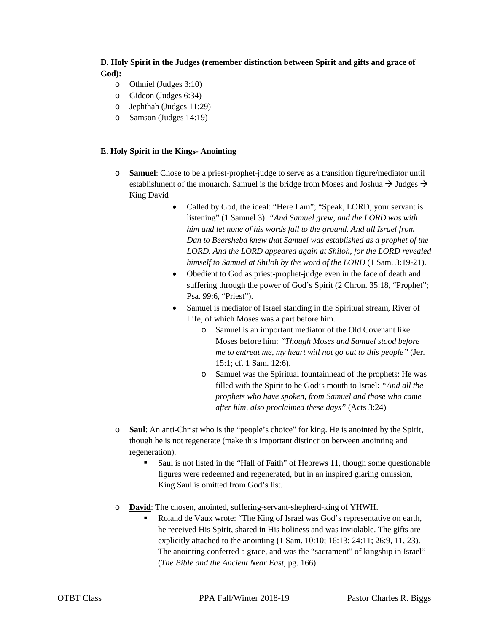# **D. Holy Spirit in the Judges (remember distinction between Spirit and gifts and grace of God):**

- o Othniel (Judges 3:10)
- o Gideon (Judges 6:34)
- o Jephthah (Judges 11:29)
- o Samson (Judges 14:19)

### **E. Holy Spirit in the Kings- Anointing**

- o **Samuel**: Chose to be a priest-prophet-judge to serve as a transition figure/mediator until establishment of the monarch. Samuel is the bridge from Moses and Joshua  $\rightarrow$  Judges  $\rightarrow$ King David
	- Called by God, the ideal: "Here I am"; "Speak, LORD, your servant is listening" (1 Samuel 3): *"And Samuel grew, and the LORD was with him and let none of his words fall to the ground. And all Israel from Dan to Beersheba knew that Samuel was established as a prophet of the LORD. And the LORD appeared again at Shiloh, for the LORD revealed himself to Samuel at Shiloh by the word of the LORD* (1 Sam. 3:19-21).
	- Obedient to God as priest-prophet-judge even in the face of death and suffering through the power of God's Spirit (2 Chron. 35:18, "Prophet"; Psa. 99:6, "Priest").
	- Samuel is mediator of Israel standing in the Spiritual stream, River of Life, of which Moses was a part before him.
		- o Samuel is an important mediator of the Old Covenant like Moses before him: *"Though Moses and Samuel stood before me to entreat me, my heart will not go out to this people"* (Jer. 15:1; cf. 1 Sam. 12:6).
		- o Samuel was the Spiritual fountainhead of the prophets: He was filled with the Spirit to be God's mouth to Israel: *"And all the prophets who have spoken, from Samuel and those who came after him, also proclaimed these days"* (Acts 3:24)
- o **Saul**: An anti-Christ who is the "people's choice" for king. He is anointed by the Spirit, though he is not regenerate (make this important distinction between anointing and regeneration).
	- Saul is not listed in the "Hall of Faith" of Hebrews 11, though some questionable figures were redeemed and regenerated, but in an inspired glaring omission, King Saul is omitted from God's list.
- o **David**: The chosen, anointed, suffering-servant-shepherd-king of YHWH.
	- Roland de Vaux wrote: "The King of Israel was God's representative on earth, he received His Spirit, shared in His holiness and was inviolable. The gifts are explicitly attached to the anointing (1 Sam. 10:10; 16:13; 24:11; 26:9, 11, 23). The anointing conferred a grace, and was the "sacrament" of kingship in Israel" (*The Bible and the Ancient Near East,* pg. 166).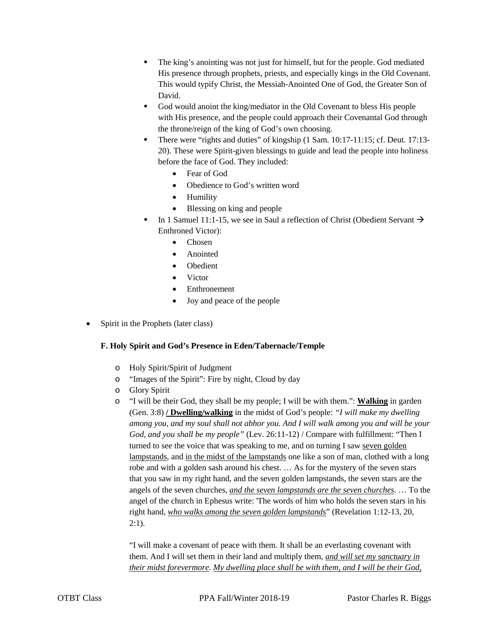- The king's anointing was not just for himself, but for the people. God mediated His presence through prophets, priests, and especially kings in the Old Covenant. This would typify Christ, the Messiah-Anointed One of God, the Greater Son of David.
- God would anoint the king/mediator in the Old Covenant to bless His people with His presence, and the people could approach their Covenantal God through the throne/reign of the king of God's own choosing.
- There were "rights and duties" of kingship (1 Sam. 10:17-11:15; cf. Deut. 17:13-20). These were Spirit-given blessings to guide and lead the people into holiness before the face of God. They included:
	- Fear of God
	- Obedience to God's written word
	- Humility
	- Blessing on king and people
- In 1 Samuel 11:1-15, we see in Saul a reflection of Christ (Obedient Servant  $\rightarrow$ Enthroned Victor):
	- Chosen
	- Anointed
	- Obedient
	- Victor
	- Enthronement
	- Joy and peace of the people
- Spirit in the Prophets (later class)

#### **F. Holy Spirit and God's Presence in Eden/Tabernacle/Temple**

- o Holy Spirit/Spirit of Judgment
- o "Images of the Spirit": Fire by night, Cloud by day
- o Glory Spirit
- o "I will be their God, they shall be my people; I will be with them.": **Walking** in garden (Gen. 3:8) **/ Dwelling/walking** in the midst of God's people: *"I will make my dwelling among you, and my soul shall not abhor you. And I will walk among you and will be your God, and you shall be my people"* (Lev. 26:11-12) / Compare with fulfillment: "Then I turned to see the voice that was speaking to me, and on turning I saw seven golden lampstands, and in the midst of the lampstands one like a son of man, clothed with a long robe and with a golden sash around his chest. … As for the mystery of the seven stars that you saw in my right hand, and the seven golden lampstands, the seven stars are the angels of the seven churches, *and the seven lampstands are the seven churches*. … To the angel of the church in Ephesus write: 'The words of him who holds the seven stars in his right hand, *who walks among the seven golden lampstands*" (Revelation 1:12-13, 20,  $2:1$ ).

"I will make a covenant of peace with them. It shall be an everlasting covenant with them. And I will set them in their land and multiply them, *and will set my sanctuary in their midst forevermore*. *My dwelling place shall be with them, and I will be their God,*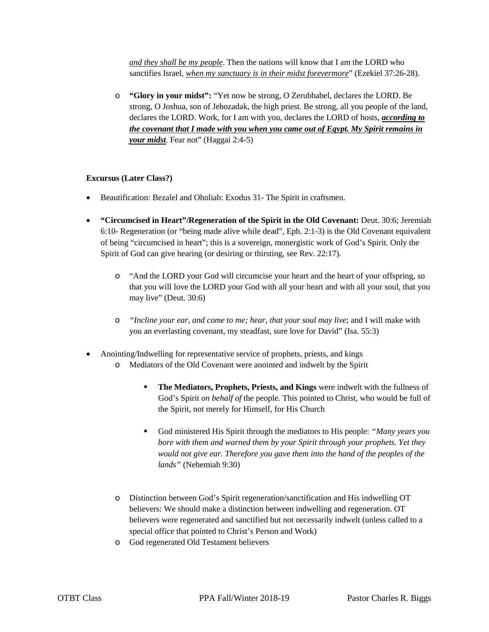*and they shall be my people*. Then the nations will know that I am the LORD who sanctifies Israel, *when my sanctuary is in their midst forevermore*" (Ezekiel 37:26-28).

o **"Glory in your midst":** "Yet now be strong, O Zerubbabel, declares the LORD. Be strong, O Joshua, son of Jehozadak, the high priest. Be strong, all you people of the land, declares the LORD. Work, for I am with you, declares the LORD of hosts, *according to the covenant that I made with you when you came out of Egypt. My Spirit remains in your midst*. Fear not" (Haggai 2:4-5)

#### **Excursus (Later Class?)**

- Beautification: Bezalel and Oholiab: Exodus 31- The Spirit in craftsmen.
- **"Circumcised in Heart"/Regeneration of the Spirit in the Old Covenant:** Deut. 30:6; Jeremiah 6:10- Regeneration (or "being made alive while dead", Eph. 2:1-3) is the Old Covenant equivalent of being "circumcised in heart"; this is a sovereign, monergistic work of God's Spirit. Only the Spirit of God can give hearing (or desiring or thirsting, see Rev. 22:17).
	- o "And the LORD your God will circumcise your heart and the heart of your offspring, so that you will love the LORD your God with all your heart and with all your soul, that you may live" (Deut. 30:6)
	- o *"Incline your ear, and come to me; hear, that your soul may live*; and I will make with you an everlasting covenant, my steadfast, sure love for David" (Isa. 55:3)
- Anointing/Indwelling for representative service of prophets, priests, and kings
	- o Mediators of the Old Covenant were anointed and indwelt by the Spirit
		- **The Mediators, Prophets, Priests, and Kings** were indwelt with the fullness of God's Spirit *on behalf of* the people. This pointed to Christ, who would be full of the Spirit, not merely for Himself, for His Church
		- God ministered His Spirit through the mediators to His people: *"Many years you bore with them and warned them by your Spirit through your prophets. Yet they would not give ear. Therefore you gave them into the hand of the peoples of the lands"* (Nehemiah 9:30)
	- o Distinction between God's Spirit regeneration/sanctification and His indwelling OT believers: We should make a distinction between indwelling and regeneration. OT believers were regenerated and sanctified but not necessarily indwelt (unless called to a special office that pointed to Christ's Person and Work)
	- o God regenerated Old Testament believers